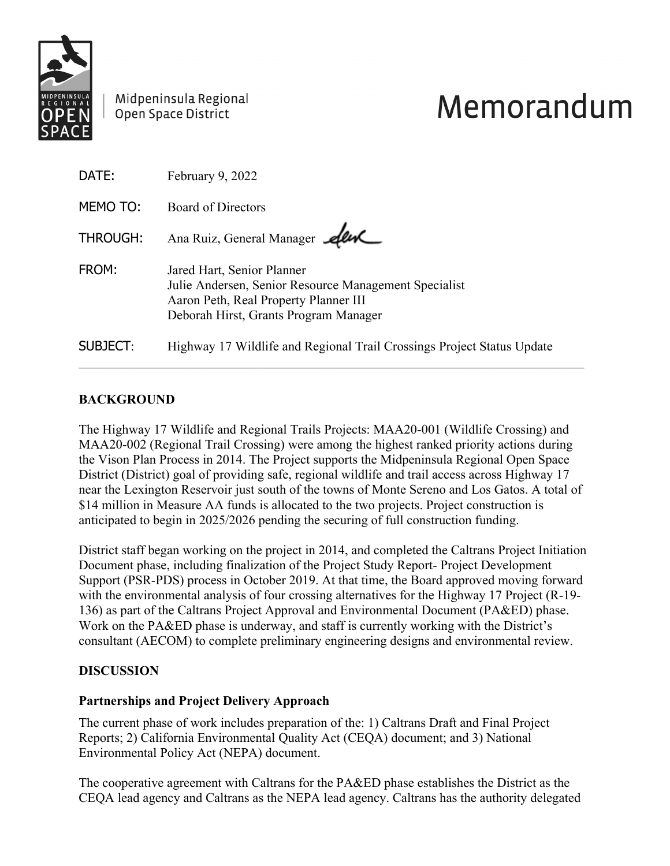

Midpeninsula Regional Open Space District

# Memorandum

| DATE:           | February 9, 2022                                                                                                                                                      |
|-----------------|-----------------------------------------------------------------------------------------------------------------------------------------------------------------------|
| MEMO TO:        | Board of Directors                                                                                                                                                    |
| <b>THROUGH:</b> | Ana Ruiz, General Manager Alw                                                                                                                                         |
| FROM:           | Jared Hart, Senior Planner<br>Julie Andersen, Senior Resource Management Specialist<br>Aaron Peth, Real Property Planner III<br>Deborah Hirst, Grants Program Manager |
| SUBJECT:        | Highway 17 Wildlife and Regional Trail Crossings Project Status Update                                                                                                |

## **BACKGROUND**

The Highway 17 Wildlife and Regional Trails Projects: MAA20-001 (Wildlife Crossing) and MAA20-002 (Regional Trail Crossing) were among the highest ranked priority actions during the Vison Plan Process in 2014. The Project supports the Midpeninsula Regional Open Space District (District) goal of providing safe, regional wildlife and trail access across Highway 17 near the Lexington Reservoir just south of the towns of Monte Sereno and Los Gatos. A total of \$14 million in Measure AA funds is allocated to the two projects. Project construction is anticipated to begin in 2025/2026 pending the securing of full construction funding.

District staff began working on the project in 2014, and completed the Caltrans Project Initiation Document phase, including finalization of the Project Study Report- Project Development Support (PSR-PDS) process in October 2019. At that time, the Board approved moving forward with the environmental analysis of four crossing alternatives for the Highway 17 Project (R-19- 136) as part of the Caltrans Project Approval and Environmental Document (PA&ED) phase. Work on the PA&ED phase is underway, and staff is currently working with the District's consultant (AECOM) to complete preliminary engineering designs and environmental review.

## **DISCUSSION**

#### **Partnerships and Project Delivery Approach**

The current phase of work includes preparation of the: 1) Caltrans Draft and Final Project Reports; 2) California Environmental Quality Act (CEQA) document; and 3) National Environmental Policy Act (NEPA) document.

The cooperative agreement with Caltrans for the PA&ED phase establishes the District as the CEQA lead agency and Caltrans as the NEPA lead agency. Caltrans has the authority delegated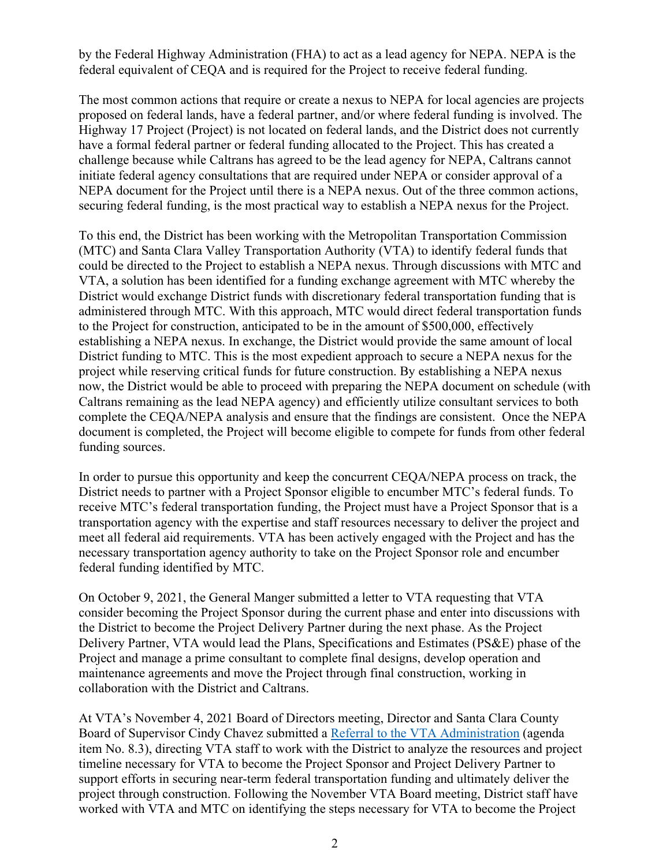by the Federal Highway Administration (FHA) to act as a lead agency for NEPA. NEPA is the federal equivalent of CEQA and is required for the Project to receive federal funding.

The most common actions that require or create a nexus to NEPA for local agencies are projects proposed on federal lands, have a federal partner, and/or where federal funding is involved. The Highway 17 Project (Project) is not located on federal lands, and the District does not currently have a formal federal partner or federal funding allocated to the Project. This has created a challenge because while Caltrans has agreed to be the lead agency for NEPA, Caltrans cannot initiate federal agency consultations that are required under NEPA or consider approval of a NEPA document for the Project until there is a NEPA nexus. Out of the three common actions, securing federal funding, is the most practical way to establish a NEPA nexus for the Project.

To this end, the District has been working with the Metropolitan Transportation Commission (MTC) and Santa Clara Valley Transportation Authority (VTA) to identify federal funds that could be directed to the Project to establish a NEPA nexus. Through discussions with MTC and VTA, a solution has been identified for a funding exchange agreement with MTC whereby the District would exchange District funds with discretionary federal transportation funding that is administered through MTC. With this approach, MTC would direct federal transportation funds to the Project for construction, anticipated to be in the amount of \$500,000, effectively establishing a NEPA nexus. In exchange, the District would provide the same amount of local District funding to MTC. This is the most expedient approach to secure a NEPA nexus for the project while reserving critical funds for future construction. By establishing a NEPA nexus now, the District would be able to proceed with preparing the NEPA document on schedule (with Caltrans remaining as the lead NEPA agency) and efficiently utilize consultant services to both complete the CEQA/NEPA analysis and ensure that the findings are consistent. Once the NEPA document is completed, the Project will become eligible to compete for funds from other federal funding sources.

In order to pursue this opportunity and keep the concurrent CEQA/NEPA process on track, the District needs to partner with a Project Sponsor eligible to encumber MTC's federal funds. To receive MTC's federal transportation funding, the Project must have a Project Sponsor that is a transportation agency with the expertise and staff resources necessary to deliver the project and meet all federal aid requirements. VTA has been actively engaged with the Project and has the necessary transportation agency authority to take on the Project Sponsor role and encumber federal funding identified by MTC.

On October 9, 2021, the General Manger submitted a letter to VTA requesting that VTA consider becoming the Project Sponsor during the current phase and enter into discussions with the District to become the Project Delivery Partner during the next phase. As the Project Delivery Partner, VTA would lead the Plans, Specifications and Estimates (PS&E) phase of the Project and manage a prime consultant to complete final designs, develop operation and maintenance agreements and move the Project through final construction, working in collaboration with the District and Caltrans.

At VTA's November 4, 2021 Board of Directors meeting, Director and Santa Clara County Board of Supervisor Cindy Chavez submitted a [Referral to the VTA Administration](http://santaclaravta.iqm2.com/Citizens/FileOpen.aspx?Type=1&ID=3356) (agenda item No. 8.3), directing VTA staff to work with the District to analyze the resources and project timeline necessary for VTA to become the Project Sponsor and Project Delivery Partner to support efforts in securing near-term federal transportation funding and ultimately deliver the project through construction. Following the November VTA Board meeting, District staff have worked with VTA and MTC on identifying the steps necessary for VTA to become the Project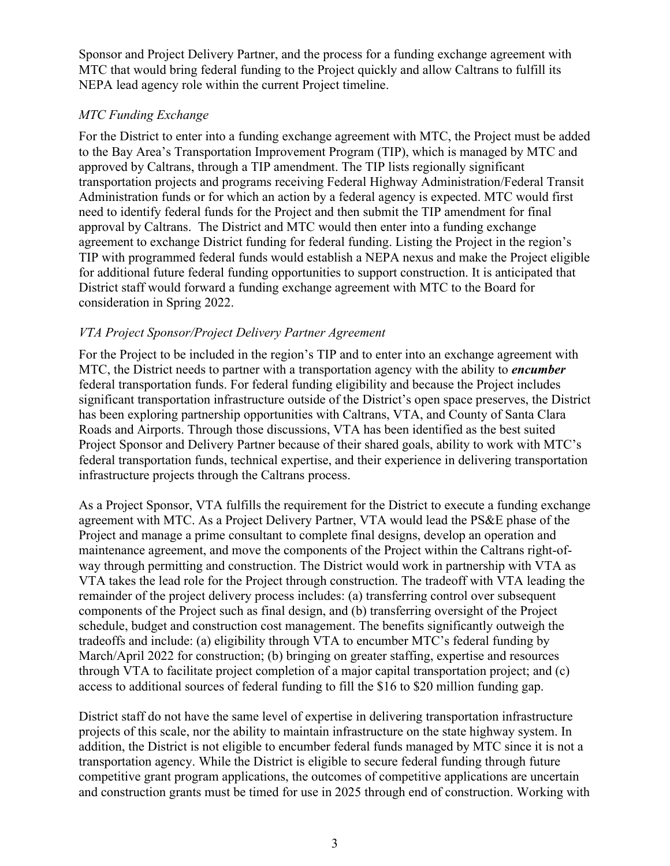Sponsor and Project Delivery Partner, and the process for a funding exchange agreement with MTC that would bring federal funding to the Project quickly and allow Caltrans to fulfill its NEPA lead agency role within the current Project timeline.

### *MTC Funding Exchange*

For the District to enter into a funding exchange agreement with MTC, the Project must be added to the Bay Area's Transportation Improvement Program (TIP), which is managed by MTC and approved by Caltrans, through a TIP amendment. The TIP lists regionally significant transportation projects and programs receiving Federal Highway Administration/Federal Transit Administration funds or for which an action by a federal agency is expected. MTC would first need to identify federal funds for the Project and then submit the TIP amendment for final approval by Caltrans. The District and MTC would then enter into a funding exchange agreement to exchange District funding for federal funding. Listing the Project in the region's TIP with programmed federal funds would establish a NEPA nexus and make the Project eligible for additional future federal funding opportunities to support construction. It is anticipated that District staff would forward a funding exchange agreement with MTC to the Board for consideration in Spring 2022.

#### *VTA Project Sponsor/Project Delivery Partner Agreement*

For the Project to be included in the region's TIP and to enter into an exchange agreement with MTC, the District needs to partner with a transportation agency with the ability to *encumber* federal transportation funds. For federal funding eligibility and because the Project includes significant transportation infrastructure outside of the District's open space preserves, the District has been exploring partnership opportunities with Caltrans, VTA, and County of Santa Clara Roads and Airports. Through those discussions, VTA has been identified as the best suited Project Sponsor and Delivery Partner because of their shared goals, ability to work with MTC's federal transportation funds, technical expertise, and their experience in delivering transportation infrastructure projects through the Caltrans process.

As a Project Sponsor, VTA fulfills the requirement for the District to execute a funding exchange agreement with MTC. As a Project Delivery Partner, VTA would lead the PS&E phase of the Project and manage a prime consultant to complete final designs, develop an operation and maintenance agreement, and move the components of the Project within the Caltrans right-ofway through permitting and construction. The District would work in partnership with VTA as VTA takes the lead role for the Project through construction. The tradeoff with VTA leading the remainder of the project delivery process includes: (a) transferring control over subsequent components of the Project such as final design, and (b) transferring oversight of the Project schedule, budget and construction cost management. The benefits significantly outweigh the tradeoffs and include: (a) eligibility through VTA to encumber MTC's federal funding by March/April 2022 for construction; (b) bringing on greater staffing, expertise and resources through VTA to facilitate project completion of a major capital transportation project; and (c) access to additional sources of federal funding to fill the \$16 to \$20 million funding gap.

District staff do not have the same level of expertise in delivering transportation infrastructure projects of this scale, nor the ability to maintain infrastructure on the state highway system. In addition, the District is not eligible to encumber federal funds managed by MTC since it is not a transportation agency. While the District is eligible to secure federal funding through future competitive grant program applications, the outcomes of competitive applications are uncertain and construction grants must be timed for use in 2025 through end of construction. Working with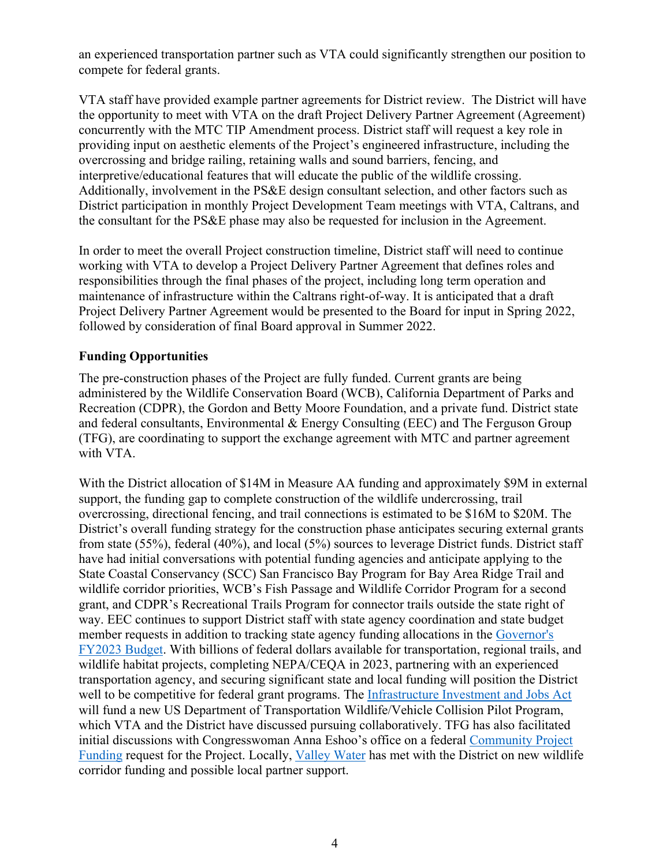an experienced transportation partner such as VTA could significantly strengthen our position to compete for federal grants.

VTA staff have provided example partner agreements for District review. The District will have the opportunity to meet with VTA on the draft Project Delivery Partner Agreement (Agreement) concurrently with the MTC TIP Amendment process. District staff will request a key role in providing input on aesthetic elements of the Project's engineered infrastructure, including the overcrossing and bridge railing, retaining walls and sound barriers, fencing, and interpretive/educational features that will educate the public of the wildlife crossing. Additionally, involvement in the PS&E design consultant selection, and other factors such as District participation in monthly Project Development Team meetings with VTA, Caltrans, and the consultant for the PS&E phase may also be requested for inclusion in the Agreement.

In order to meet the overall Project construction timeline, District staff will need to continue working with VTA to develop a Project Delivery Partner Agreement that defines roles and responsibilities through the final phases of the project, including long term operation and maintenance of infrastructure within the Caltrans right-of-way. It is anticipated that a draft Project Delivery Partner Agreement would be presented to the Board for input in Spring 2022, followed by consideration of final Board approval in Summer 2022.

#### **Funding Opportunities**

The pre-construction phases of the Project are fully funded. Current grants are being administered by the Wildlife Conservation Board (WCB), California Department of Parks and Recreation (CDPR), the Gordon and Betty Moore Foundation, and a private fund. District state and federal consultants, Environmental & Energy Consulting (EEC) and The Ferguson Group (TFG), are coordinating to support the exchange agreement with MTC and partner agreement with VTA.

With the District allocation of \$14M in Measure AA funding and approximately \$9M in external support, the funding gap to complete construction of the wildlife undercrossing, trail overcrossing, directional fencing, and trail connections is estimated to be \$16M to \$20M. The District's overall funding strategy for the construction phase anticipates securing external grants from state (55%), federal (40%), and local (5%) sources to leverage District funds. District staff have had initial conversations with potential funding agencies and anticipate applying to the State Coastal Conservancy (SCC) San Francisco Bay Program for Bay Area Ridge Trail and wildlife corridor priorities, WCB's Fish Passage and Wildlife Corridor Program for a second grant, and CDPR's Recreational Trails Program for connector trails outside the state right of way. EEC continues to support District staff with state agency coordination and state budget member requests in addition to tracking state agency funding allocations in the [Governor's](https://lao.ca.gov/Publications/Report/4492)  [FY2023 Budget.](https://lao.ca.gov/Publications/Report/4492) With billions of federal dollars available for transportation, regional trails, and wildlife habitat projects, completing NEPA/CEQA in 2023, partnering with an experienced transportation agency, and securing significant state and local funding will position the District well to be competitive for federal grant programs. The [Infrastructure Investment and Jobs Act](https://www.whitehouse.gov/briefing-room/statements-releases/2021/11/06/fact-sheet-the-bipartisan-infrastructure-deal/) will fund a new US Department of Transportation Wildlife/Vehicle Collision Pilot Program, which VTA and the District have discussed pursuing collaboratively. TFG has also facilitated initial discussions with Congresswoman Anna Eshoo's office on a federal [Community Project](https://eshoo.house.gov/constituent-services/community-funded-projects)  [Funding](https://eshoo.house.gov/constituent-services/community-funded-projects) request for the Project. Locally, [Valley Water](https://www.valleywater.org/learning-center/grants-partnerships) has met with the District on new wildlife corridor funding and possible local partner support.